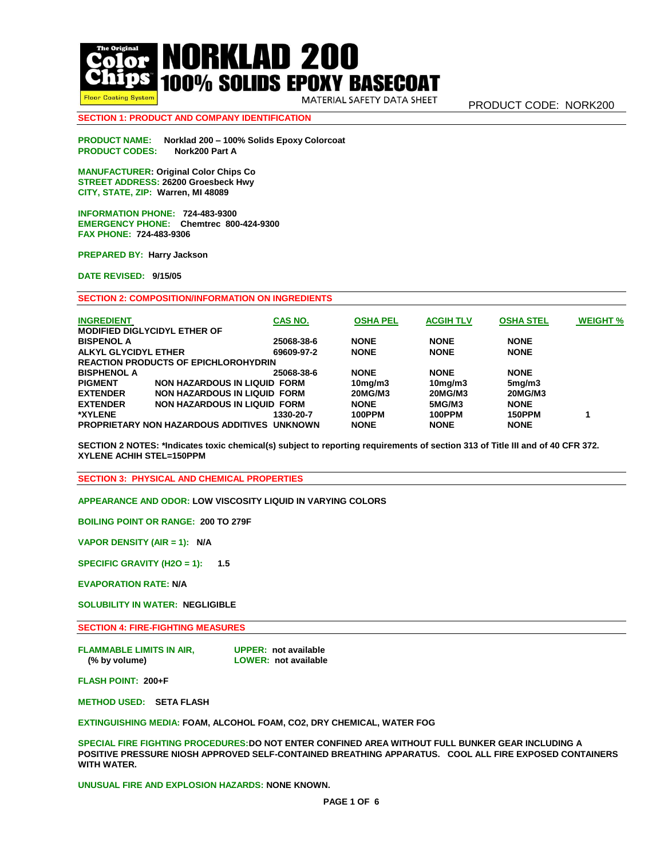**Floor Coating System** 

**NORKLAD 200 100% SOLIDS EPOXY BASECOAT** 

MATERIAL SAFETY DATA SHEET

# **SECTION 1: PRODUCT AND COMPANY IDENTIFICATION**

**PRODUCT NAME: Norklad 200 – 100% Solids Epoxy Colorcoat PRODUCT CODES: Nork200 Part A**

**MANUFACTURER: Original Color Chips Co STREET ADDRESS: 26200 Groesbeck Hwy CITY, STATE, ZIP: Warren, MI 48089** 

**INFORMATION PHONE: 724-483-9300 EMERGENCY PHONE: Chemtrec 800-424-9300 FAX PHONE: 724-483-9306** 

**PREPARED BY: Harry Jackson** 

**DATE REVISED: 9/15/05** 

**SECTION 2: COMPOSITION/INFORMATION ON INGREDIENTS**

| <b>INGREDIENT</b>                                      | CAS NO.    | <b>OSHA PEL</b> | <b>ACGIH TLV</b> | <b>OSHA STEL</b> | <b>WEIGHT %</b> |  |  |  |
|--------------------------------------------------------|------------|-----------------|------------------|------------------|-----------------|--|--|--|
| <b>MODIFIED DIGLYCIDYL ETHER OF</b>                    |            |                 |                  |                  |                 |  |  |  |
| <b>BISPENOL A</b>                                      | 25068-38-6 | <b>NONE</b>     | <b>NONE</b>      | <b>NONE</b>      |                 |  |  |  |
| ALKYL GLYCIDYL ETHER                                   | 69609-97-2 | <b>NONE</b>     | <b>NONE</b>      | <b>NONE</b>      |                 |  |  |  |
| <b>REACTION PRODUCTS OF EPICHLOROHYDRIN</b>            |            |                 |                  |                  |                 |  |  |  |
| <b>BISPHENOL A</b>                                     | 25068-38-6 | <b>NONE</b>     | <b>NONE</b>      | <b>NONE</b>      |                 |  |  |  |
| <b>PIGMENT</b><br><b>NON HAZARDOUS IN LIQUID FORM</b>  |            | $10$ mg/m $3$   | $10$ mg/m $3$    | 5mg/m3           |                 |  |  |  |
| <b>EXTENDER</b><br>NON HAZARDOUS IN LIQUID FORM        |            | <b>20MG/M3</b>  | <b>20MG/M3</b>   | <b>20MG/M3</b>   |                 |  |  |  |
| <b>NON HAZARDOUS IN LIQUID FORM</b><br><b>EXTENDER</b> |            | <b>NONE</b>     | 5MG/M3           | <b>NONE</b>      |                 |  |  |  |
| <b>*XYLENE</b>                                         | 1330-20-7  | 100PPM          | 100PPM           | <b>150PPM</b>    |                 |  |  |  |
| PROPRIETARY NON HAZARDOUS ADDITIVES UNKNOWN            |            | <b>NONE</b>     | <b>NONE</b>      | <b>NONE</b>      |                 |  |  |  |

**SECTION 2 NOTES: \*Indicates toxic chemical(s) subject to reporting requirements of section 313 of Title III and of 40 CFR 372. XYLENE ACHIH STEL=150PPM**

**SECTION 3: PHYSICAL AND CHEMICAL PROPERTIES**

**APPEARANCE AND ODOR: LOW VISCOSITY LIQUID IN VARYING COLORS**

**BOILING POINT OR RANGE: 200 TO 279F**

**VAPOR DENSITY (AIR = 1): N/A** 

**SPECIFIC GRAVITY (H2O = 1): 1.5**

**EVAPORATION RATE: N/A** 

**SOLUBILITY IN WATER: NEGLIGIBLE** 

**SECTION 4: FIRE-FIGHTING MEASURES** 

**FLAMMABLE LIMITS IN AIR, UPPER: not available (% by volume) LOWER: not available**

**FLASH POINT: 200+F**

**METHOD USED: SETA FLASH**

**EXTINGUISHING MEDIA: FOAM, ALCOHOL FOAM, CO2, DRY CHEMICAL, WATER FOG**

**SPECIAL FIRE FIGHTING PROCEDURES:DO NOT ENTER CONFINED AREA WITHOUT FULL BUNKER GEAR INCLUDING A POSITIVE PRESSURE NIOSH APPROVED SELF-CONTAINED BREATHING APPARATUS. COOL ALL FIRE EXPOSED CONTAINERS WITH WATER.**

**UNUSUAL FIRE AND EXPLOSION HAZARDS: NONE KNOWN.**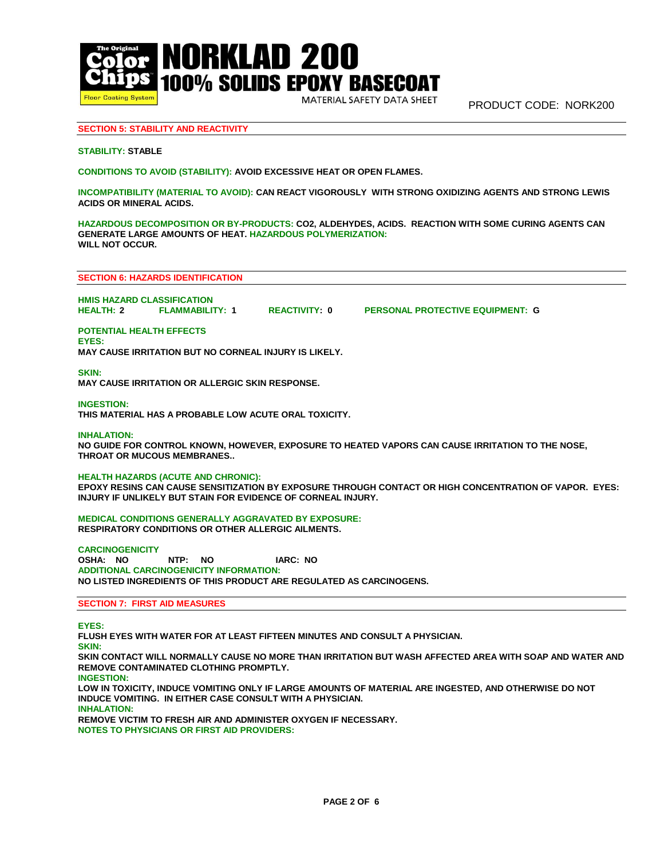

MATERIAL SAFETY DATA SHEET

PRODUCT CODE: NORK200

# **SECTION 5: STABILITY AND REACTIVITY**

## **STABILITY: STABLE**

**CONDITIONS TO AVOID (STABILITY): AVOID EXCESSIVE HEAT OR OPEN FLAMES.**

**INCOMPATIBILITY (MATERIAL TO AVOID): CAN REACT VIGOROUSLY WITH STRONG OXIDIZING AGENTS AND STRONG LEWIS ACIDS OR MINERAL ACIDS.**

**HAZARDOUS DECOMPOSITION OR BY-PRODUCTS: CO2, ALDEHYDES, ACIDS. REACTION WITH SOME CURING AGENTS CAN GENERATE LARGE AMOUNTS OF HEAT. HAZARDOUS POLYMERIZATION: WILL NOT OCCUR.**

## **SECTION 6: HAZARDS IDENTIFICATION**

**HMIS HAZARD CLASSIFICATION**

**REACTIVITY: 0 PERSONAL PROTECTIVE EQUIPMENT: G** 

# **POTENTIAL HEALTH EFFECTS**

**EYES: MAY CAUSE IRRITATION BUT NO CORNEAL INJURY IS LIKELY.** 

**SKIN:**

**MAY CAUSE IRRITATION OR ALLERGIC SKIN RESPONSE.**

#### **INGESTION:**

**THIS MATERIAL HAS A PROBABLE LOW ACUTE ORAL TOXICITY.** 

#### **INHALATION:**

**NO GUIDE FOR CONTROL KNOWN, HOWEVER, EXPOSURE TO HEATED VAPORS CAN CAUSE IRRITATION TO THE NOSE, THROAT OR MUCOUS MEMBRANES..** 

# **HEALTH HAZARDS (ACUTE AND CHRONIC):**

**EPOXY RESINS CAN CAUSE SENSITIZATION BY EXPOSURE THROUGH CONTACT OR HIGH CONCENTRATION OF VAPOR. EYES: INJURY IF UNLIKELY BUT STAIN FOR EVIDENCE OF CORNEAL INJURY.**

**MEDICAL CONDITIONS GENERALLY AGGRAVATED BY EXPOSURE: RESPIRATORY CONDITIONS OR OTHER ALLERGIC AILMENTS.**

**CARCINOGENICITY OSHA: NO NTP: NO IARC: NO ADDITIONAL CARCINOGENICITY INFORMATION: NO LISTED INGREDIENTS OF THIS PRODUCT ARE REGULATED AS CARCINOGENS.** 

## **SECTION 7: FIRST AID MEASURES**

**EYES:**

**FLUSH EYES WITH WATER FOR AT LEAST FIFTEEN MINUTES AND CONSULT A PHYSICIAN. SKIN: SKIN CONTACT WILL NORMALLY CAUSE NO MORE THAN IRRITATION BUT WASH AFFECTED AREA WITH SOAP AND WATER AND REMOVE CONTAMINATED CLOTHING PROMPTLY. INGESTION: LOW IN TOXICITY, INDUCE VOMITING ONLY IF LARGE AMOUNTS OF MATERIAL ARE INGESTED, AND OTHERWISE DO NOT INDUCE VOMITING. IN EITHER CASE CONSULT WITH A PHYSICIAN. INHALATION: REMOVE VICTIM TO FRESH AIR AND ADMINISTER OXYGEN IF NECESSARY.**

**NOTES TO PHYSICIANS OR FIRST AID PROVIDERS:**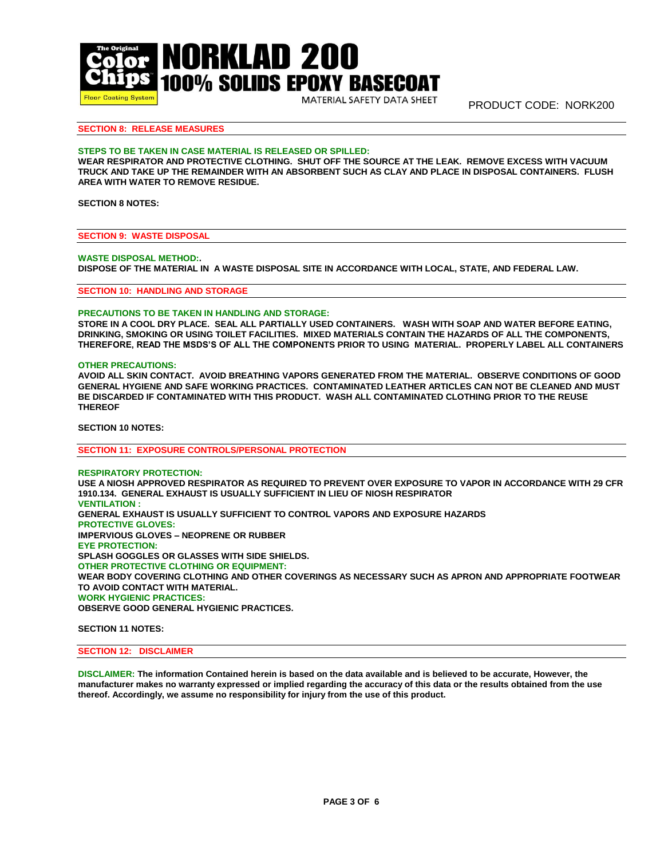

MATERIAL SAFETY DATA SHEET

PRODUCT CODE: NORK200

# **SECTION 8: RELEASE MEASURES**

## **STEPS TO BE TAKEN IN CASE MATERIAL IS RELEASED OR SPILLED:**

**WEAR RESPIRATOR AND PROTECTIVE CLOTHING. SHUT OFF THE SOURCE AT THE LEAK. REMOVE EXCESS WITH VACUUM TRUCK AND TAKE UP THE REMAINDER WITH AN ABSORBENT SUCH AS CLAY AND PLACE IN DISPOSAL CONTAINERS. FLUSH AREA WITH WATER TO REMOVE RESIDUE.**

## **SECTION 8 NOTES:**

**SECTION 9: WASTE DISPOSAL**

**WASTE DISPOSAL METHOD:. DISPOSE OF THE MATERIAL IN A WASTE DISPOSAL SITE IN ACCORDANCE WITH LOCAL, STATE, AND FEDERAL LAW.** 

**SECTION 10: HANDLING AND STORAGE**

## **PRECAUTIONS TO BE TAKEN IN HANDLING AND STORAGE:**

**STORE IN A COOL DRY PLACE. SEAL ALL PARTIALLY USED CONTAINERS. WASH WITH SOAP AND WATER BEFORE EATING, DRINKING, SMOKING OR USING TOILET FACILITIES. MIXED MATERIALS CONTAIN THE HAZARDS OF ALL THE COMPONENTS, THEREFORE, READ THE MSDS'S OF ALL THE COMPONENTS PRIOR TO USING MATERIAL. PROPERLY LABEL ALL CONTAINERS**

#### **OTHER PRECAUTIONS:**

**AVOID ALL SKIN CONTACT. AVOID BREATHING VAPORS GENERATED FROM THE MATERIAL. OBSERVE CONDITIONS OF GOOD GENERAL HYGIENE AND SAFE WORKING PRACTICES. CONTAMINATED LEATHER ARTICLES CAN NOT BE CLEANED AND MUST BE DISCARDED IF CONTAMINATED WITH THIS PRODUCT. WASH ALL CONTAMINATED CLOTHING PRIOR TO THE REUSE THEREOF**

**SECTION 10 NOTES:** 

**SECTION 11: EXPOSURE CONTROLS/PERSONAL PROTECTION**

**RESPIRATORY PROTECTION: USE A NIOSH APPROVED RESPIRATOR AS REQUIRED TO PREVENT OVER EXPOSURE TO VAPOR IN ACCORDANCE WITH 29 CFR 1910.134. GENERAL EXHAUST IS USUALLY SUFFICIENT IN LIEU OF NIOSH RESPIRATOR VENTILATION : GENERAL EXHAUST IS USUALLY SUFFICIENT TO CONTROL VAPORS AND EXPOSURE HAZARDS PROTECTIVE GLOVES: IMPERVIOUS GLOVES – NEOPRENE OR RUBBER EYE PROTECTION: SPLASH GOGGLES OR GLASSES WITH SIDE SHIELDS. OTHER PROTECTIVE CLOTHING OR EQUIPMENT: WEAR BODY COVERING CLOTHING AND OTHER COVERINGS AS NECESSARY SUCH AS APRON AND APPROPRIATE FOOTWEAR TO AVOID CONTACT WITH MATERIAL. WORK HYGIENIC PRACTICES: OBSERVE GOOD GENERAL HYGIENIC PRACTICES.** 

**SECTION 11 NOTES:** 

# **SECTION 12: DISCLAIMER**

**DISCLAIMER: The information Contained herein is based on the data available and is believed to be accurate, However, the manufacturer makes no warranty expressed or implied regarding the accuracy of this data or the results obtained from the use thereof. Accordingly, we assume no responsibility for injury from the use of this product.**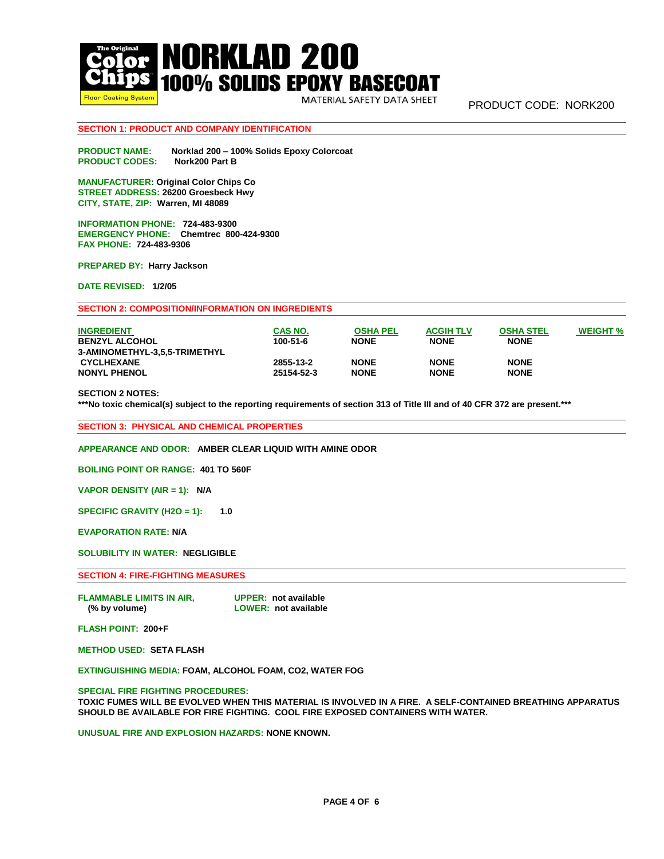

MATERIAL SAFETY DATA SHEET

PRODUCT CODE: NORK200

# **SECTION 1: PRODUCT AND COMPANY IDENTIFICATION**

**PRODUCT NAME: Norklad 200 – 100% Solids Epoxy Colorcoat PRODUCT CODES:** 

**MANUFACTURER: Original Color Chips Co STREET ADDRESS: 26200 Groesbeck Hwy CITY, STATE, ZIP: Warren, MI 48089** 

**INFORMATION PHONE: 724-483-9300 EMERGENCY PHONE: Chemtrec 800-424-9300 FAX PHONE: 724-483-9306** 

**PREPARED BY: Harry Jackson** 

**DATE REVISED: 1/2/05** 

## **SECTION 2: COMPOSITION/INFORMATION ON INGREDIENTS**

| <b>INGREDIENT</b><br><b>BENZYL ALCOHOL</b> | CAS NO.<br>100-51-6 | <b>OSHA PEL</b><br><b>NONE</b> | <b>ACGIH TLV</b><br><b>NONE</b> | <b>OSHA STEL</b><br><b>NONE</b> | <b>WEIGHT %</b> |
|--------------------------------------------|---------------------|--------------------------------|---------------------------------|---------------------------------|-----------------|
| 3-AMINOMETHYL-3.5.5-TRIMETHYL              |                     |                                |                                 |                                 |                 |
| <b>CYCLHEXANE</b>                          | 2855-13-2           | <b>NONE</b>                    | <b>NONE</b>                     | <b>NONE</b>                     |                 |
| <b>NONYL PHENOL</b>                        | 25154-52-3          | <b>NONE</b>                    | <b>NONE</b>                     | <b>NONE</b>                     |                 |

## **SECTION 2 NOTES:**

**\*\*\*No toxic chemical(s) subject to the reporting requirements of section 313 of Title III and of 40 CFR 372 are present.\*\*\***

**SECTION 3: PHYSICAL AND CHEMICAL PROPERTIES**

**APPEARANCE AND ODOR: AMBER CLEAR LIQUID WITH AMINE ODOR**

**BOILING POINT OR RANGE: 401 TO 560F** 

**VAPOR DENSITY (AIR = 1): N/A** 

**SPECIFIC GRAVITY (H2O = 1): 1.0**

**EVAPORATION RATE: N/A** 

**SOLUBILITY IN WATER: NEGLIGIBLE** 

**SECTION 4: FIRE-FIGHTING MEASURES** 

**FLAMMABLE LIMITS IN AIR, UPPER: not available (% by volume) LOWER: not available**

**FLASH POINT: 200+F**

**METHOD USED: SETA FLASH**

**EXTINGUISHING MEDIA: FOAM, ALCOHOL FOAM, CO2, WATER FOG**

**SPECIAL FIRE FIGHTING PROCEDURES:**

**TOXIC FUMES WILL BE EVOLVED WHEN THIS MATERIAL IS INVOLVED IN A FIRE. A SELF-CONTAINED BREATHING APPARATUS SHOULD BE AVAILABLE FOR FIRE FIGHTING. COOL FIRE EXPOSED CONTAINERS WITH WATER.** 

**UNUSUAL FIRE AND EXPLOSION HAZARDS: NONE KNOWN.**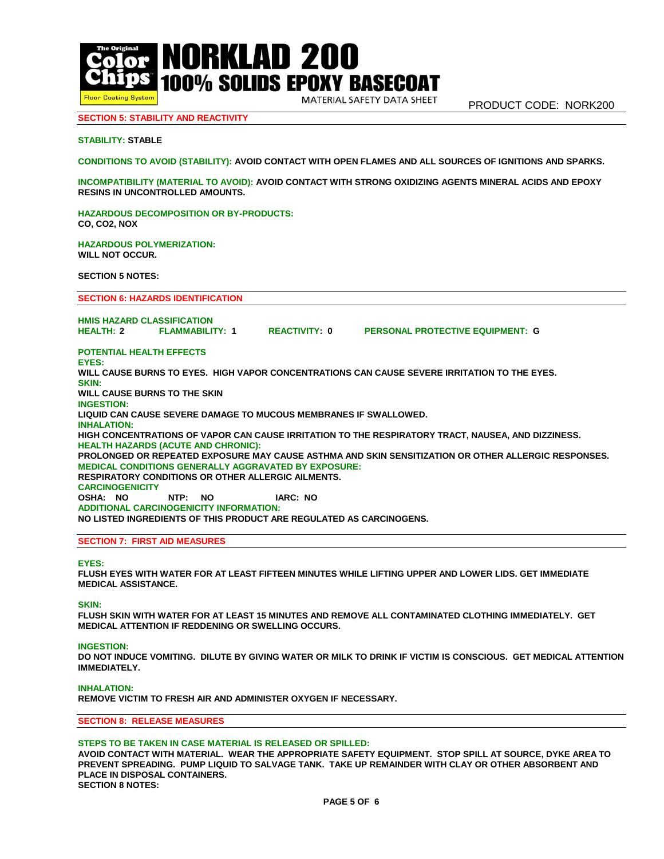

MATERIAL SAFETY DATA SHEET

# **SECTION 5: STABILITY AND REACTIVITY**

# **STABILITY: STABLE**

**CONDITIONS TO AVOID (STABILITY): AVOID CONTACT WITH OPEN FLAMES AND ALL SOURCES OF IGNITIONS AND SPARKS.**

**INCOMPATIBILITY (MATERIAL TO AVOID): AVOID CONTACT WITH STRONG OXIDIZING AGENTS MINERAL ACIDS AND EPOXY RESINS IN UNCONTROLLED AMOUNTS.**

**HAZARDOUS DECOMPOSITION OR BY-PRODUCTS: CO, CO2, NOX**

**HAZARDOUS POLYMERIZATION: WILL NOT OCCUR.**

**SECTION 5 NOTES:** 

**SECTION 6: HAZARDS IDENTIFICATION**

**HMIS HAZARD CLASSIFICATION HEALTH: 2 FLAMMABILITY: 1 REACTIVITY: 0 PERSONAL PROTECTIVE EQUIPMENT: G**

**POTENTIAL HEALTH EFFECTS**

**EYES: WILL CAUSE BURNS TO EYES. HIGH VAPOR CONCENTRATIONS CAN CAUSE SEVERE IRRITATION TO THE EYES. SKIN: WILL CAUSE BURNS TO THE SKIN INGESTION: LIQUID CAN CAUSE SEVERE DAMAGE TO MUCOUS MEMBRANES IF SWALLOWED. INHALATION: HIGH CONCENTRATIONS OF VAPOR CAN CAUSE IRRITATION TO THE RESPIRATORY TRACT, NAUSEA, AND DIZZINESS. HEALTH HAZARDS (ACUTE AND CHRONIC): PROLONGED OR REPEATED EXPOSURE MAY CAUSE ASTHMA AND SKIN SENSITIZATION OR OTHER ALLERGIC RESPONSES. MEDICAL CONDITIONS GENERALLY AGGRAVATED BY EXPOSURE: RESPIRATORY CONDITIONS OR OTHER ALLERGIC AILMENTS. CARCINOGENICITY OSHA: NO NTP: NO IARC: NO ADDITIONAL CARCINOGENICITY INFORMATION: NO LISTED INGREDIENTS OF THIS PRODUCT ARE REGULATED AS CARCINOGENS.** 

#### **SECTION 7: FIRST AID MEASURES**

#### **EYES:**

**FLUSH EYES WITH WATER FOR AT LEAST FIFTEEN MINUTES WHILE LIFTING UPPER AND LOWER LIDS. GET IMMEDIATE MEDICAL ASSISTANCE.** 

**SKIN:**

**FLUSH SKIN WITH WATER FOR AT LEAST 15 MINUTES AND REMOVE ALL CONTAMINATED CLOTHING IMMEDIATELY. GET MEDICAL ATTENTION IF REDDENING OR SWELLING OCCURS.**

#### **INGESTION:**

**DO NOT INDUCE VOMITING. DILUTE BY GIVING WATER OR MILK TO DRINK IF VICTIM IS CONSCIOUS. GET MEDICAL ATTENTION IMMEDIATELY.**

#### **INHALATION:**

**REMOVE VICTIM TO FRESH AIR AND ADMINISTER OXYGEN IF NECESSARY.**

**SECTION 8: RELEASE MEASURES**

#### **STEPS TO BE TAKEN IN CASE MATERIAL IS RELEASED OR SPILLED:**

**AVOID CONTACT WITH MATERIAL. WEAR THE APPROPRIATE SAFETY EQUIPMENT. STOP SPILL AT SOURCE, DYKE AREA TO PREVENT SPREADING. PUMP LIQUID TO SALVAGE TANK. TAKE UP REMAINDER WITH CLAY OR OTHER ABSORBENT AND PLACE IN DISPOSAL CONTAINERS. SECTION 8 NOTES:**